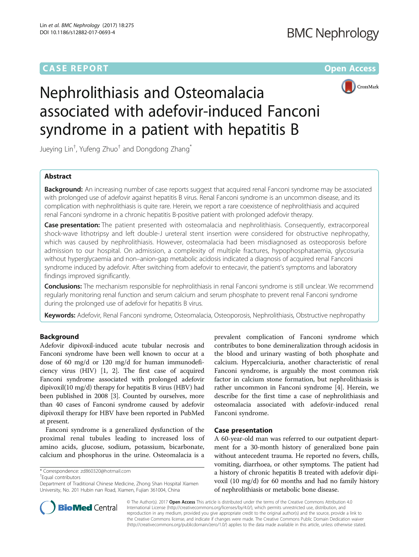# **CASE REPORT CASE REPORT CASE REPORT**



# Nephrolithiasis and Osteomalacia associated with adefovir-induced Fanconi syndrome in a patient with hepatitis B

Jueying Lin $^\dagger$ , Yufeng Zhuo $^\dagger$  and Dongdong Zhang $^*$ 

# Abstract

**Background:** An increasing number of case reports suggest that acquired renal Fanconi syndrome may be associated with prolonged use of adefovir against hepatitis B virus. Renal Fanconi syndrome is an uncommon disease, and its complication with nephrolithiasis is quite rare. Herein, we report a rare coexistence of nephrolithiasis and acquired renal Fanconi syndrome in a chronic hepatitis B-positive patient with prolonged adefovir therapy.

Case presentation: The patient presented with osteomalacia and nephrolithiasis. Consequently, extracorporeal shock-wave lithotripsy and left double-J ureteral stent insertion were considered for obstructive nephropathy, which was caused by nephrolithiasis. However, osteomalacia had been misdiagnosed as osteoporosis before admission to our hospital. On admission, a complexity of multiple fractures, hypophosphataemia, glycosuria without hyperglycaemia and non–anion-gap metabolic acidosis indicated a diagnosis of acquired renal Fanconi syndrome induced by adefovir. After switching from adefovir to entecavir, the patient's symptoms and laboratory findings improved significantly.

Conclusions: The mechanism responsible for nephrolithiasis in renal Fanconi syndrome is still unclear. We recommend regularly monitoring renal function and serum calcium and serum phosphate to prevent renal Fanconi syndrome during the prolonged use of adefovir for hepatitis B virus.

Keywords: Adefovir, Renal Fanconi syndrome, Osteomalacia, Osteoporosis, Nephrolithiasis, Obstructive nephropathy

# Background

Adefovir dipivoxil-induced acute tubular necrosis and Fanconi syndrome have been well known to occur at a dose of 60 mg/d or 120 mg/d for human immunodeficiency virus (HIV) [\[1](#page-3-0), [2](#page-3-0)]. The first case of acquired Fanconi syndrome associated with prolonged adefovir dipivoxil(10 mg/d) therapy for hepatitis B virus (HBV) had been published in 2008 [\[3](#page-3-0)]. Counted by ourselves, more than 40 cases of Fanconi syndrome caused by adefovir dipivoxil therapy for HBV have been reported in PubMed at present.

Fanconi syndrome is a generalized dysfunction of the proximal renal tubules leading to increased loss of amino acids, glucose, sodium, potassium, bicarbonate, calcium and phosphorus in the urine. Osteomalacia is a

Equal contributors

prevalent complication of Fanconi syndrome which contributes to bone demineralization through acidosis in the blood and urinary wasting of both phosphate and calcium. Hypercalciuria, another characteristic of renal Fanconi syndrome, is arguably the most common risk factor in calcium stone formation, but nephrolithiasis is rather uncommon in Fanconi syndrome [\[4](#page-3-0)]. Herein, we describe for the first time a case of nephrolithiasis and osteomalacia associated with adefovir-induced renal Fanconi syndrome.

# Case presentation

A 60-year-old man was referred to our outpatient department for a 30-month history of generalized bone pain without antecedent trauma. He reported no fevers, chills, vomiting, diarrhoea, or other symptoms. The patient had a history of chronic hepatitis B treated with adefovir dipivoxil (10 mg/d) for 60 months and had no family history of nephrolithiasis or metabolic bone disease.



© The Author(s). 2017 Open Access This article is distributed under the terms of the Creative Commons Attribution 4.0 International License [\(http://creativecommons.org/licenses/by/4.0/](http://creativecommons.org/licenses/by/4.0/)), which permits unrestricted use, distribution, and reproduction in any medium, provided you give appropriate credit to the original author(s) and the source, provide a link to the Creative Commons license, and indicate if changes were made. The Creative Commons Public Domain Dedication waiver [\(http://creativecommons.org/publicdomain/zero/1.0/](http://creativecommons.org/publicdomain/zero/1.0/)) applies to the data made available in this article, unless otherwise stated.

<sup>\*</sup> Correspondence: [zd860320@hotmail.com](mailto:zd860320@hotmail.com) †

Department of Traditional Chinese Medicine, Zhong Shan Hospital Xiamen University, No. 201 Hubin nan Road, Xiamen, Fujian 361004, China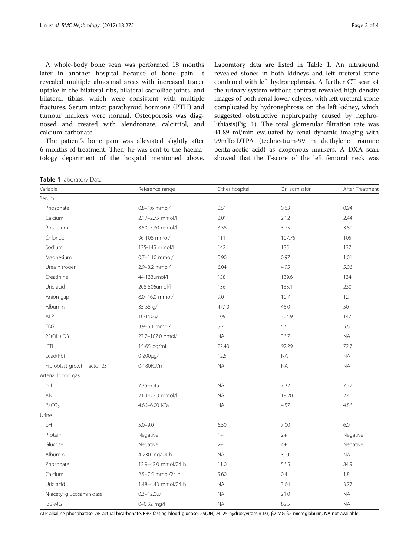<span id="page-1-0"></span>A whole-body bone scan was performed 18 months later in another hospital because of bone pain. It revealed multiple abnormal areas with increased tracer uptake in the bilateral ribs, bilateral sacroiliac joints, and bilateral tibias, which were consistent with multiple fractures. Serum intact parathyroid hormone (PTH) and tumour markers were normal. Osteoporosis was diagnosed and treated with alendronate, calcitriol, and calcium carbonate.

The patient's bone pain was alleviated slightly after 6 months of treatment. Then, he was sent to the haematology department of the hospital mentioned above. Laboratory data are listed in Table 1. An ultrasound revealed stones in both kidneys and left ureteral stone combined with left hydronephrosis. A further CT scan of the urinary system without contrast revealed high-density images of both renal lower calyces, with left ureteral stone complicated by hydronephrosis on the left kidney, which suggested obstructive nephropathy caused by nephrolithiasis(Fig. [1\)](#page-2-0). The total glomerular filtration rate was 41.89 ml/min evaluated by renal dynamic imaging with 99mTc-DTPA (techne-tium-99 m diethylene triamine penta-acetic acid) as exogenous markers. A DXA scan showed that the T-score of the left femoral neck was

Table 1 laboratory Data

| Variable                    | Reference range     | Other hospital | On admission | After Treatment |
|-----------------------------|---------------------|----------------|--------------|-----------------|
| Serum                       |                     |                |              |                 |
| Phosphate                   | 0.8-1.6 mmol/l      | 0.51           | 0.63         | 0.94            |
| Calcium                     | 2.17-2.75 mmol/l    | 2.01           | 2.12         | 2.44            |
| Potassium                   | 3.50-5.30 mmol/l    | 3.38           | 3.75         | 3.80            |
| Chloride                    | 96-108 mmol/l       | 111            | 107.75       | 105             |
| Sodium                      | 135-145 mmol/l      | 142            | 135          | 137             |
| Magnesium                   | 0.7-1.10 mmol/l     | 0.90           | 0.97         | 1.01            |
| Urea nitrogen               | 2.9-8.2 mmol/l      | 6.04           | 4.95         | 5.06            |
| Creatinine                  | 44-133umol/l        | 158            | 139.6        | 134             |
| Uric acid                   | 208-506umol/l       | 136            | 133.1        | 230             |
| Anion-gap                   | 8.0-16.0 mmol/l     | 9.0            | 10.7         | 12              |
| Albumin                     | 35-55 g/l           | 47.10          | 45.0         | 50              |
| ALP                         | 10-150u/l           | 109            | 304.9        | 147             |
| <b>FBG</b>                  | 3.9-6.1 mmol/l      | 5.7            | 5.6          | 5.6             |
| 25(OH) D3                   | 27.7-107.0 nmol/l   | <b>NA</b>      | 36.7         | $\sf NA$        |
| iPTH                        | 15-65 pg/ml         | 22.40          | 92.29        | 72.7            |
| Lead(Pb)                    | 0-200µg/l           | 12.5           | <b>NA</b>    | NA              |
| Fibroblast growth factor 23 | 0-180RU/ml          | <b>NA</b>      | <b>NA</b>    | <b>NA</b>       |
| Arterial blood gas          |                     |                |              |                 |
| pH                          | $7.35 - 7.45$       | $\sf NA$       | 7.32         | 7.37            |
| AB                          | 21.4-27.3 mmol/l    | <b>NA</b>      | 18.20        | 22.0            |
| PaCO <sub>2</sub>           | 4.66-6.00 KPa       | <b>NA</b>      | 4.57         | 4.86            |
| Urine                       |                     |                |              |                 |
| pH                          | $5.0 - 9.0$         | 6.50           | 7.00         | 6.0             |
| Protein                     | Negative            | $1+$           | $2+$         | Negative        |
| Glucose                     | Negative            | $2+$           | $4+$         | Negative        |
| Albumin                     | 4-230 mg/24 h       | <b>NA</b>      | 300          | NA              |
| Phosphate                   | 12.9-42.0 mmol/24 h | 11.0           | 56.5         | 84.9            |
| Calcium                     | 2.5-7.5 mmol/24 h   | 5.60           | 0.4          | 1.8             |
| Uric acid                   | 1.48-4.43 mmol/24 h | $\sf NA$       | 3.64         | 3.77            |
| N-acetyl-glucosaminidase    | $0.3 - 12.0$ u/l    | <b>NA</b>      | 21.0         | <b>NA</b>       |
| $\beta$ 2-MG                | 0-0.32 mg/l         | <b>NA</b>      | 82.5         | <b>NA</b>       |

ALP-alkaline phosphatase, AB-actual bicarbonate, FBG-fasting blood-glucose, 25(OH)D3–25-hydroxyvitamin D3, β2-MG β2-microglobulin, NA-not available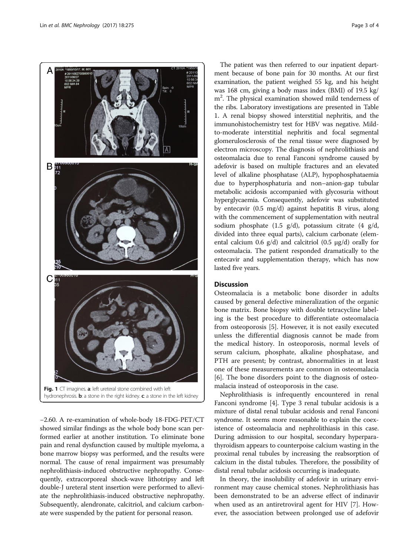<span id="page-2-0"></span>

−2.60. A re-examination of whole-body 18-FDG-PET/CT showed similar findings as the whole body bone scan performed earlier at another institution. To eliminate bone pain and renal dysfunction caused by multiple myeloma, a bone marrow biopsy was performed, and the results were normal. The cause of renal impairment was presumably nephrolithiasis-induced obstructive nephropathy. Consequently, extracorporeal shock-wave lithotripsy and left double-J ureteral stent insertion were performed to alleviate the nephrolithiasis-induced obstructive nephropathy. Subsequently, alendronate, calcitriol, and calcium carbonate were suspended by the patient for personal reason.

The patient was then referred to our inpatient department because of bone pain for 30 months. At our first examination, the patient weighed 55 kg, and his height was 168 cm, giving a body mass index (BMI) of 19.5 kg/ m<sup>2</sup>. The physical examination showed mild tenderness of the ribs. Laboratory investigations are presented in Table [1.](#page-1-0) A renal biopsy showed interstitial nephritis, and the immunohistochemistry test for HBV was negative. Mildto-moderate interstitial nephritis and focal segmental glomerulosclerosis of the renal tissue were diagnosed by electron microscopy. The diagnosis of nephrolithiasis and osteomalacia due to renal Fanconi syndrome caused by adefovir is based on multiple fractures and an elevated level of alkaline phosphatase (ALP), hypophosphataemia due to hyperphosphaturia and non–anion-gap tubular metabolic acidosis accompanied with glycosuria without hyperglycaemia. Consequently, adefovir was substituted by entecavir (0.5 mg/d) against hepatitis B virus, along with the commencement of supplementation with neutral sodium phosphate (1.5 g/d), potassium citrate (4 g/d, divided into three equal parts), calcium carbonate (elemental calcium 0.6 g/d) and calcitriol (0.5 μg/d) orally for osteomalacia. The patient responded dramatically to the entecavir and supplementation therapy, which has now lasted five years.

# Discussion

Osteomalacia is a metabolic bone disorder in adults caused by general defective mineralization of the organic bone matrix. Bone biopsy with double tetracycline labeling is the best procedure to differentiate osteomalacia from osteoporosis [\[5](#page-3-0)]. However, it is not easily executed unless the differential diagnosis cannot be made from the medical history. In osteoporosis, normal levels of serum calcium, phosphate, alkaline phosphatase, and PTH are present; by contrast, abnormalities in at least one of these measurements are common in osteomalacia [[6\]](#page-3-0). The bone disorders point to the diagnosis of osteomalacia instead of osteoporosis in the case.

Nephrolithiasis is infrequently encountered in renal Fanconi syndrome [\[4](#page-3-0)]. Type 3 renal tubular acidosis is a mixture of distal renal tubular acidosis and renal Fanconi syndrome. It seems more reasonable to explain the coexistence of osteomalacia and nephrolithiasis in this case. During admission to our hospital, secondary hyperparathyroidism appears to counterpoise calcium wasting in the proximal renal tubules by increasing the reabsorption of calcium in the distal tubules. Therefore, the possibility of distal renal tubular acidosis occurring is inadequate.

In theory, the insolubility of adefovir in urinary environment may cause chemical stones. Nephrolithiasis has been demonstrated to be an adverse effect of indinavir when used as an antiretroviral agent for HIV [\[7](#page-3-0)]. However, the association between prolonged use of adefovir